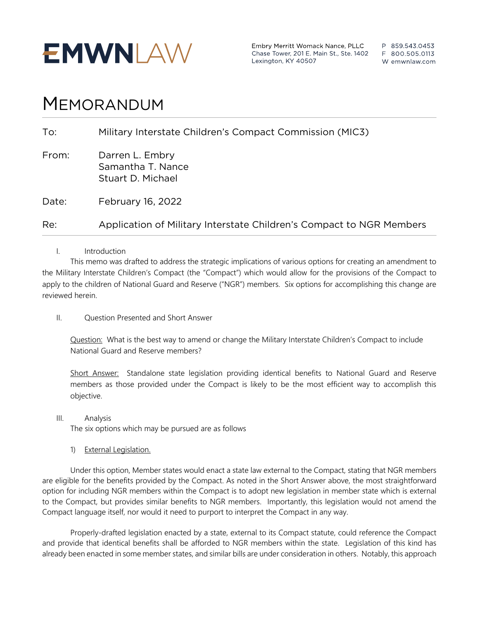

Embry Merritt Womack Nance, PLLC Chase Tower, 201 E. Main St., Ste. 1402 Lexington, KY 40507

P 859.543.0453 F 800.505.0113 W emwnlaw.com

# MEMORANDUM

| To:   | Military Interstate Children's Compact Commission (MIC3)             |
|-------|----------------------------------------------------------------------|
| From: | Darren L. Embry<br>Samantha T. Nance<br>Stuart D. Michael            |
| Date: | February 16, 2022                                                    |
| Re:   | Application of Military Interstate Children's Compact to NGR Members |

I. Introduction

This memo was drafted to address the strategic implications of various options for creating an amendment to the Military Interstate Children's Compact (the "Compact") which would allow for the provisions of the Compact to apply to the children of National Guard and Reserve ("NGR") members. Six options for accomplishing this change are reviewed herein.

II. Question Presented and Short Answer

Question: What is the best way to amend or change the Military Interstate Children's Compact to include National Guard and Reserve members?

Short Answer: Standalone state legislation providing identical benefits to National Guard and Reserve members as those provided under the Compact is likely to be the most efficient way to accomplish this objective.

III. Analysis

The six options which may be pursued are as follows

1) External Legislation.

Under this option, Member states would enact a state law external to the Compact, stating that NGR members are eligible for the benefits provided by the Compact. As noted in the Short Answer above, the most straightforward option for including NGR members within the Compact is to adopt new legislation in member state which is external to the Compact, but provides similar benefits to NGR members. Importantly, this legislation would not amend the Compact language itself, nor would it need to purport to interpret the Compact in any way.

Properly-drafted legislation enacted by a state, external to its Compact statute, could reference the Compact and provide that identical benefits shall be afforded to NGR members within the state. Legislation of this kind has already been enacted in some member states, and similar bills are under consideration in others. Notably, this approach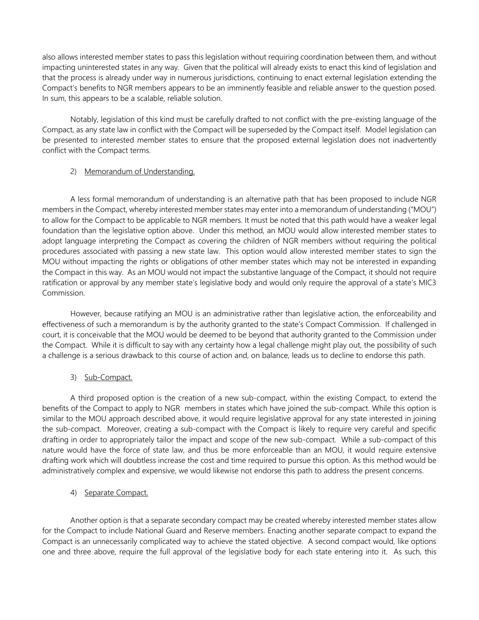also allows interested member states to pass this legislation without requiring coordination between them, and without impacting uninterested states in any way. Given that the political will already exists to enact this kind of legislation and that the process is already under way in numerous jurisdictions, continuing to enact external legislation extending the Compact's benefits to NGR members appears to be an imminently feasible and reliable answer to the question posed. In sum, this appears to be a scalable, reliable solution.

Notably, legislation of this kind must be carefully drafted to not conflict with the pre-existing language of the Compact, as any state law in conflict with the Compact will be superseded by the Compact itself. Model legislation can be presented to interested member states to ensure that the proposed external legislation does not inadvertently conflict with the Compact terms.

### 2) Memorandum of Understanding.

A less formal memorandum of understanding is an alternative path that has been proposed to include NGR members in the Compact, whereby interested member states may enter into a memorandum of understanding ("MOU") to allow for the Compact to be applicable to NGR members. It must be noted that this path would have a weaker legal foundation than the legislative option above. Under this method, an MOU would allow interested member states to adopt language interpreting the Compact as covering the children of NGR members without requiring the political procedures associated with passing a new state law. This option would allow interested member states to sign the MOU without impacting the rights or obligations of other member states which may not be interested in expanding the Compact in this way. As an MOU would not impact the substantive language of the Compact, it should not require ratification or approval by any member state's legislative body and would only require the approval of a state's MIC3 Commission.

However, because ratifying an MOU is an administrative rather than legislative action, the enforceability and effectiveness of such a memorandum is by the authority granted to the state's Compact Commission. If challenged in court, it is conceivable that the MOU would be deemed to be beyond that authority granted to the Commission under the Compact. While it is difficult to say with any certainty how a legal challenge might play out, the possibility of such a challenge is a serious drawback to this course of action and, on balance, leads us to decline to endorse this path.

# 3) Sub-Compact.

A third proposed option is the creation of a new sub-compact, within the existing Compact, to extend the benefits of the Compact to apply to NGR members in states which have joined the sub-compact. While this option is similar to the MOU approach described above, it would require legislative approval for any state interested in joining the sub-compact. Moreover, creating a sub-compact with the Compact is likely to require very careful and specific drafting in order to appropriately tailor the impact and scope of the new sub-compact. While a sub-compact of this nature would have the force of state law, and thus be more enforceable than an MOU, it would require extensive drafting work which will doubtless increase the cost and time required to pursue this option. As this method would be administratively complex and expensive, we would likewise not endorse this path to address the present concerns.

# 4) Separate Compact.

Another option is that a separate secondary compact may be created whereby interested member states allow for the Compact to include National Guard and Reserve members. Enacting another separate compact to expand the Compact is an unnecessarily complicated way to achieve the stated objective. A second compact would, like options one and three above, require the full approval of the legislative body for each state entering into it. As such, this